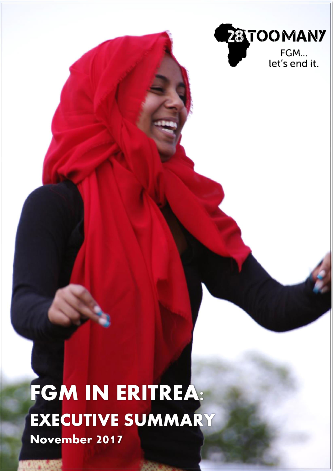

**FGM IN ERITREA: EXECUTIVE SUMMARY November 2017**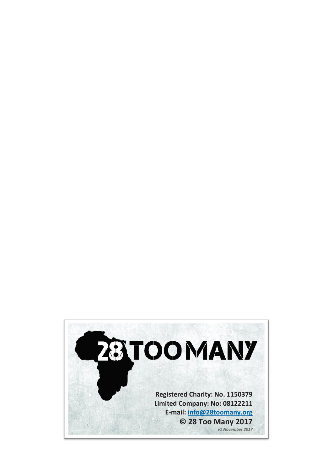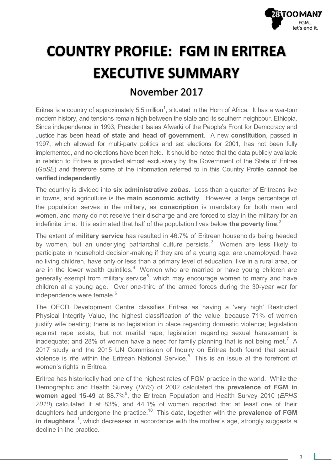

## **COUNTRY PROFILE: FGM IN ERITREA EXECUTIVE SUMMARY**

## November 2017

Eritrea is a country of approximately 5.5 million<sup>1</sup>, situated in the Horn of Africa. It has a war-torn modern history, and tensions remain high between the state and its southern neighbour, Ethiopia. Since independence in 1993, President Isaias Afwerki of the People's Front for Democracy and Justice has been **head of state and head of government**. A new **constitution**, passed in 1997, which allowed for multi-party politics and set elections for 2001, has not been fully implemented, and no elections have been held. It should be noted that the data publicly available in relation to Eritrea is provided almost exclusively by the Government of the State of Eritrea (*GoSE*) and therefore some of the information referred to in this Country Profile **cannot be verified independently**.

The country is divided into **six administrative** *zobas*. Less than a quarter of Eritreans live in towns, and agriculture is the **main economic activity**. However, a large percentage of the population serves in the military, as **conscription** is mandatory for both men and women, and many do not receive their discharge and are forced to stay in the military for an indefinite time. It is estimated that half of the population lives below **the poverty line**. 2

The extent of **military service** has resulted in 46.7% of Eritrean households being headed by women, but an underlying patriarchal culture persists.<sup>3</sup> Women are less likely to participate in household decision-making if they are of a young age, are unemployed, have no living children, have only or less than a primary level of education, live in a rural area, or are in the lower wealth quintiles. $4$  Women who are married or have young children are generally exempt from military service<sup>5</sup>, which may encourage women to marry and have children at a young age. Over one-third of the armed forces during the 30-year war for independence were female.<sup>6</sup>

The OECD Development Centre classifies Eritrea as having a 'very high' Restricted Physical Integrity Value, the highest classification of the value, because 71% of women justify wife beating; there is no legislation in place regarding domestic violence; legislation against rape exists, but not marital rape; legislation regarding sexual harassment is inadequate; and 28% of women have a need for family planning that is not being met.<sup>7</sup> A 2017 study and the 2015 UN Commission of Inquiry on Eritrea both found that sexual violence is rife within the Eritrean National Service.<sup>8</sup> This is an issue at the forefront of women's rights in Eritrea.

Eritrea has historically had one of the highest rates of FGM practice in the world. While the Demographic and Health Survey (*DHS*) of 2002 calculated the **prevalence of FGM in**  women aged 15-49 at 88.7%<sup>9</sup>, the Eritrean Population and Health Survey 2010 (*EPHS 2010*) calculated it at 83%, and 44.1% of women reported that at least one of their daughters had undergone the practice.<sup>10</sup> This data, together with the **prevalence of FGM in daughters**<sup>11</sup>, which decreases in accordance with the mother's age, strongly suggests a decline in the practice.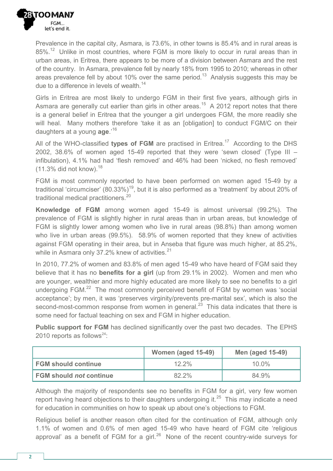

Prevalence in the capital city, Asmara, is 73.6%, in other towns is 85.4% and in rural areas is 85%.<sup>12</sup> Unlike in most countries, where FGM is more likely to occur in rural areas than in urban areas, in Eritrea, there appears to be more of a division between Asmara and the rest of the country. In Asmara, prevalence fell by nearly 18% from 1995 to 2010; whereas in other areas prevalence fell by about 10% over the same period.<sup>13</sup> Analysis suggests this may be due to a difference in levels of wealth.<sup>14</sup>

Girls in Eritrea are most likely to undergo FGM in their first five years, although girls in Asmara are generally cut earlier than girls in other areas.<sup>15</sup> A 2012 report notes that there is a general belief in Eritrea that the younger a girl undergoes FGM, the more readily she will heal. Many mothers therefore 'take it as an [obligation] to conduct FGM/C on their daughters at a young **age**.'<sup>16</sup>

All of the WHO-classified **types of FGM** are practised in Eritrea.<sup>17</sup> According to the DHS 2002, 38.6% of women aged 15-49 reported that they were 'sewn closed' (Type III – infibulation), 4.1% had had 'flesh removed' and 46% had been 'nicked, no flesh removed'  $(11.3\%$  did not know).<sup>18</sup>

FGM is most commonly reported to have been performed on women aged 15-49 by a traditional 'circumciser' (80.33%)<sup>19</sup>, but it is also performed as a 'treatment' by about 20% of traditional medical practitioners.<sup>20</sup>

**Knowledge of FGM** among women aged 15-49 is almost universal (99.2%). The prevalence of FGM is slightly higher in rural areas than in urban areas, but knowledge of FGM is slightly lower among women who live in rural areas (98.8%) than among women who live in urban areas (99.5%). 58.9% of women reported that they knew of activities against FGM operating in their area, but in Anseba that figure was much higher, at 85.2%, while in Asmara only 37.2% knew of activities. $21$ 

In 2010, 77.2% of women and 83.8% of men aged 15-49 who have heard of FGM said they believe that it has no **benefits for a girl** (up from 29.1% in 2002). Women and men who are younger, wealthier and more highly educated are more likely to see no benefits to a girl undergoing FGM.<sup>22</sup> The most commonly perceived benefit of FGM by women was 'social acceptance'; by men, it was 'preserves virginity/prevents pre-marital sex', which is also the second-most-common response from women in general. $^{23}$  This data indicates that there is some need for factual teaching on sex and FGM in higher education.

**Public support for FGM** has declined significantly over the past two decades. The EPHS 2010 reports as follows<sup>24</sup>:

|                                | Women (aged 15-49) | <b>Men (aged 15-49)</b> |
|--------------------------------|--------------------|-------------------------|
| l FGM should continue          | $12.2\%$           | $10.0\%$                |
| <b>FGM should not continue</b> | $822\%$            | 84.9%                   |

Although the majority of respondents see no benefits in FGM for a girl, very few women report having heard objections to their daughters undergoing it. $^{25}$  This may indicate a need for education in communities on how to speak up about one's objections to FGM.

Religious belief is another reason often cited for the continuation of FGM, although only 1.1% of women and 0.6% of men aged 15-49 who have heard of FGM cite 'religious approval' as a benefit of FGM for a girl. $^{26}$  None of the recent country-wide surveys for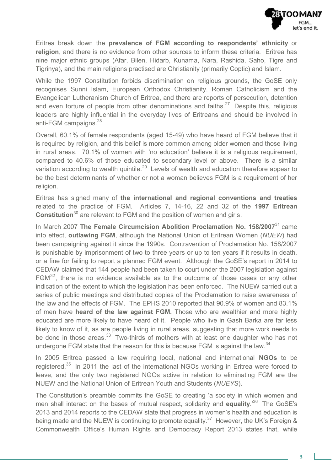

Eritrea break down the **prevalence of FGM according to respondents' ethnicity** or **religion**, and there is no evidence from other sources to inform these criteria. Eritrea has nine major ethnic groups (Afar, Bilen, Hidarb, Kunama, Nara, Rashida, Saho, Tigre and Tigrinya), and the main religions practised are Christianity (primarily Coptic) and Islam.

While the 1997 Constitution forbids discrimination on religious grounds, the GoSE only recognises Sunni Islam, European Orthodox Christianity, Roman Catholicism and the Evangelican Lutheranism Church of Eritrea, and there are reports of persecution, detention and even torture of people from other denominations and faiths.<sup>27</sup> Despite this, religious leaders are highly influential in the everyday lives of Eritreans and should be involved in anti-FGM campaigns.<sup>28</sup>

Overall, 60.1% of female respondents (aged 15-49) who have heard of FGM believe that it is required by religion, and this belief is more common among older women and those living in rural areas. 70.1% of women with 'no education' believe it is a religious requirement, compared to 40.6% of those educated to secondary level or above. There is a similar variation according to wealth quintile.<sup>29</sup> Levels of wealth and education therefore appear to be the best determinants of whether or not a woman believes FGM is a requirement of her religion.

Eritrea has signed many of **the international and regional conventions and treaties** related to the practice of FGM. Articles 7, 14-16, 22 and 32 of the **1997 Eritrean Constitution**<sup>30</sup> are relevant to FGM and the position of women and girls.

In March 2007 **The Female Circumcision Abolition Proclamation No. 158/2007**<sup>31</sup> came into effect, **outlawing FGM**, although the National Union of Eritrean Women (*NUEW*) had been campaigning against it since the 1990s. Contravention of Proclamation No. 158/2007 is punishable by imprisonment of two to three years or up to ten years if it results in death, or a fine for failing to report a planned FGM event. Although the GoSE's report in 2014 to CEDAW claimed that 144 people had been taken to court under the 2007 legislation against  $FGM<sup>32</sup>$ , there is no evidence available as to the outcome of those cases or any other indication of the extent to which the legislation has been enforced. The NUEW carried out a series of public meetings and distributed copies of the Proclamation to raise awareness of the law and the effects of FGM. The EPHS 2010 reported that 90.9% of women and 83.1% of men have **heard of the law against FGM.** Those who are wealthier and more highly educated are more likely to have heard of it. People who live in Gash Barka are far less likely to know of it, as are people living in rural areas, suggesting that more work needs to be done in those areas.<sup>33</sup> Two-thirds of mothers with at least one daughter who has not undergone FGM state that the reason for this is because FGM is against the law.  $34$ 

In 2005 Eritrea passed a law requiring local, national and international **NGOs** to be registered.<sup>35</sup> In 2011 the last of the international NGOs working in Eritrea were forced to leave, and the only two registered NGOs active in relation to eliminating FGM are the NUEW and the National Union of Eritrean Youth and Students (*NUEYS*).

The Constitution's preamble commits the GoSE to creating 'a society in which women and men shall interact on the bases of mutual respect, solidarity and **equality**.'<sup>36</sup> The GoSE's 2013 and 2014 reports to the CEDAW state that progress in women's health and education is being made and the NUEW is continuing to promote equality.<sup>37</sup> However, the UK's Foreign & Commonwealth Office's Human Rights and Democracy Report 2013 states that, while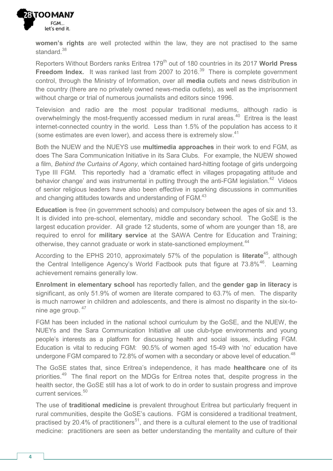

**women's rights** are well protected within the law, they are not practised to the same standard.<sup>38</sup>

Reporters Without Borders ranks Eritrea 179<sup>th</sup> out of 180 countries in its 2017 World Press **Freedom Index.** It was ranked last from 2007 to 2016.<sup>39</sup> There is complete government control, through the Ministry of Information, over all **media** outlets and news distribution in the country (there are no privately owned news-media outlets), as well as the imprisonment without charge or trial of numerous journalists and editors since 1996.

Television and radio are the most popular traditional mediums, although radio is overwhelmingly the most-frequently accessed medium in rural areas.<sup>40</sup> Eritrea is the least internet-connected country in the world. Less than 1.5% of the population has access to it (some estimates are even lower), and access there is extremely slow.<sup>41</sup>

Both the NUEW and the NUEYS use **multimedia approaches** in their work to end FGM, as does The Sara Communication Initiative in its Sara Clubs. For example, the NUEW showed a film, *Behind the Curtains of Agony*, which contained hard-hitting footage of girls undergoing Type III FGM. This reportedly had a 'dramatic effect in villages propagating attitude and behavior change' and was instrumental in putting through the anti-FGM legislation.<sup>42</sup> Videos of senior religious leaders have also been effective in sparking discussions in communities and changing attitudes towards and understanding of FGM.<sup>43</sup>

**Education** is free (in government schools) and compulsory between the ages of six and 13. It is divided into pre-school, elementary, middle and secondary school. The GoSE is the largest education provider. All grade 12 students, some of whom are younger than 18, are required to enrol for **military service** at the SAWA Centre for Education and Training; otherwise, they cannot graduate or work in state-sanctioned employment.<sup>44</sup>

According to the EPHS 2010, approximately 57% of the population is **literate**<sup>45</sup>, although the Central Intelligence Agency's World Factbook puts that figure at 73.8%<sup>46</sup>. Learning achievement remains generally low.

**Enrolment in elementary school** has reportedly fallen, and the **gender gap in literacy** is significant, as only 51.9% of women are literate compared to 63.7% of men. The disparity is much narrower in children and adolescents, and there is almost no disparity in the six-tonine age group. <sup>47</sup>

FGM has been included in the national school curriculum by the GoSE, and the NUEW, the NUEYs and the Sara Communication Initiative all use club-type environments and young people's interests as a platform for discussing health and social issues, including FGM. Education is vital to reducing FGM: 90.5% of women aged 15-49 with 'no' education have undergone FGM compared to 72.8% of women with a secondary or above level of education.<sup>48</sup>

The GoSE states that, since Eritrea's independence, it has made **healthcare** one of its priorities.<sup>49</sup> The final report on the MDGs for Eritrea notes that, despite progress in the health sector, the GoSE still has a lot of work to do in order to sustain progress and improve current services.<sup>50</sup>

The use of **traditional medicine** is prevalent throughout Eritrea but particularly frequent in rural communities, despite the GoSE's cautions. FGM is considered a traditional treatment, practised by 20.4% of practitioners<sup>51</sup>, and there is a cultural element to the use of traditional medicine: practitioners are seen as better understanding the mentality and culture of their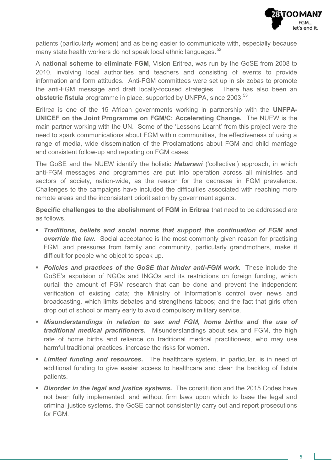

patients (particularly women) and as being easier to communicate with, especially because many state health workers do not speak local ethnic languages.<sup>52</sup>

A **national scheme to eliminate FGM**, Vision Eritrea, was run by the GoSE from 2008 to 2010, involving local authorities and teachers and consisting of events to provide information and form attitudes. Anti-FGM committees were set up in six zobas to promote the anti-FGM message and draft locally-focused strategies. There has also been an **obstetric fistula** programme in place, supported by UNFPA, since 2003.<sup>53</sup>

Eritrea is one of the 15 African governments working in partnership with the **UNFPA-UNICEF on the Joint Programme on FGM/C: Accelerating Change.** The NUEW is the main partner working with the UN. Some of the 'Lessons Learnt' from this project were the need to spark communications about FGM within communities, the effectiveness of using a range of media, wide dissemination of the Proclamations about FGM and child marriage and consistent follow-up and reporting on FGM cases.

The GoSE and the NUEW identify the holistic *Habarawi* ('collective') approach, in which anti-FGM messages and programmes are put into operation across all ministries and sectors of society, nation-wide, as the reason for the decrease in FGM prevalence. Challenges to the campaigns have included the difficulties associated with reaching more remote areas and the inconsistent prioritisation by government agents.

**Specific challenges to the abolishment of FGM in Eritrea** that need to be addressed are as follows.

- *Traditions, beliefs and social norms that support the continuation of FGM and override the law.* Social acceptance is the most commonly given reason for practising FGM, and pressures from family and community, particularly grandmothers, make it difficult for people who object to speak up.
- *Policies and practices of the GoSE that hinder anti-FGM work.* These include the GoSE's expulsion of NGOs and INGOs and its restrictions on foreign funding, which curtail the amount of FGM research that can be done and prevent the independent verification of existing data; the Ministry of Information's control over news and broadcasting, which limits debates and strengthens taboos; and the fact that girls often drop out of school or marry early to avoid compulsory military service.
- *Misunderstandings in relation to sex and FGM, home births and the use of traditional medical practitioners.* Misunderstandings about sex and FGM, the high rate of home births and reliance on traditional medical practitioners, who may use harmful traditional practices, increase the risks for women.
- *Limited funding and resources***.** The healthcare system, in particular, is in need of additional funding to give easier access to healthcare and clear the backlog of fistula patients.
- **Disorder in the legal and justice systems.** The constitution and the 2015 Codes have not been fully implemented, and without firm laws upon which to base the legal and criminal justice systems, the GoSE cannot consistently carry out and report prosecutions for FGM.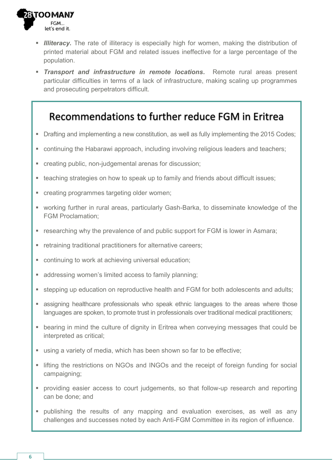

- **Illiteracy.** The rate of illiteracy is especially high for women, making the distribution of printed material about FGM and related issues ineffective for a large percentage of the population.
- *Transport and infrastructure in remote locations***.** Remote rural areas present particular difficulties in terms of a lack of infrastructure, making scaling up programmes and prosecuting perpetrators difficult.

## Recommendations to further reduce FGM in Eritrea

- Drafting and implementing a new constitution, as well as fully implementing the 2015 Codes;
- continuing the Habarawi approach, including involving religious leaders and teachers;
- creating public, non-judgemental arenas for discussion;
- teaching strategies on how to speak up to family and friends about difficult issues;
- **EXECTE:** creating programmes targeting older women:
- working further in rural areas, particularly Gash-Barka, to disseminate knowledge of the FGM Proclamation;
- **F** researching why the prevalence of and public support for FGM is lower in Asmara;
- **Fig. 1** retraining traditional practitioners for alternative careers;
- continuing to work at achieving universal education;
- addressing women's limited access to family planning;
- stepping up education on reproductive health and FGM for both adolescents and adults;
- **E** assigning healthcare professionals who speak ethnic languages to the areas where those languages are spoken, to promote trust in professionals over traditional medical practitioners;
- bearing in mind the culture of dignity in Eritrea when conveying messages that could be interpreted as critical;
- using a variety of media, which has been shown so far to be effective;
- Ifting the restrictions on NGOs and INGOs and the receipt of foreign funding for social campaigning;
- providing easier access to court judgements, so that follow-up research and reporting can be done; and
- publishing the results of any mapping and evaluation exercises, as well as any challenges and successes noted by each Anti-FGM Committee in its region of influence.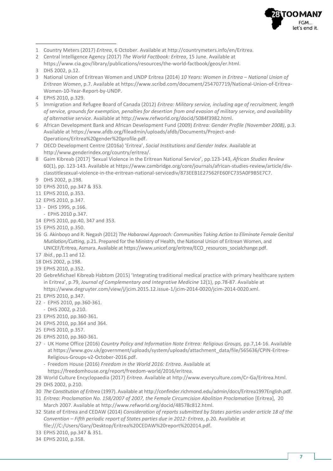

- 1 Country Meters (2017) *Eritrea*, 6 October. Available at http://countrymeters.info/en/Eritrea.
- 2 Central Intelligence Agency (2017) *The World Factbook: Eritrea*, 15 June. Available at https://www.cia.gov/library/publications/resources/the-world-factbook/geos/er.html.

l

- 3 National Union of Eritrean Women and UNDP Eritrea (2014) *10 Years: Women in Eritrea – National Union of Eritrean Women*, p.7. Available a[t https://www.scribd.com/document/254707719/National-Union-of-Eritrea-](https://www.scribd.com/document/254707719/National-Union-of-Eritrea-Women-10-Year-Report-by-UNDP)[Women-10-Year-Report-by-UNDP.](https://www.scribd.com/document/254707719/National-Union-of-Eritrea-Women-10-Year-Report-by-UNDP)
- 4 EPHS 2010, p.329.
- 5 Immigration and Refugee Board of Canada (2012) *Eritrea: Military service, including age of recruitment, length of service, grounds for exemption, penalties for desertion from and evasion of military service, and availability of alternative service*. Available at [http://www.refworld.org/docid/5084f3982.html.](http://www.refworld.org/docid/5084f3982.html)
- 6 African Development Bank and African Development Fund (2009) *Eritrea: Gender Profile (November 2008)*, p.3. Available a[t https://www.afdb.org/fileadmin/uploads/afdb/Documents/Project-and-](https://www.afdb.org/fileadmin/uploads/afdb/Documents/Project-and-Operations/Eritrea%20gender%20profile.pdf)[Operations/Eritrea%20gender%20profile.pdf.](https://www.afdb.org/fileadmin/uploads/afdb/Documents/Project-and-Operations/Eritrea%20gender%20profile.pdf)
- 7 OECD Development Centre (2016a) 'Eritrea', *Social Institutions and Gender Index*. Available at [http://www.genderindex.org/country/eritrea/.](http://www.genderindex.org/country/eritrea/)
- 8 Gaim Kibreab (2017) 'Sexual Violence in the Eritrean National Service', pp.123-143, African Studies Review 60(1), pp. 123-143. Available at [https://www.cambridge.org/core/journals/african-studies-review/article/div](https://www.cambridge.org/core/journals/african-studies-review/article/div-classtitlesexual-violence-in-the-eritrean-national-servicediv/873EEB1E27562FE60FC735A0F9B5E7C7)[classtitlesexual-violence-in-the-eritrean-national-servicediv/873EEB1E27562FE60FC735A0F9B5E7C7.](https://www.cambridge.org/core/journals/african-studies-review/article/div-classtitlesexual-violence-in-the-eritrean-national-servicediv/873EEB1E27562FE60FC735A0F9B5E7C7)
- 9 DHS 2002, p.198.
- 10 EPHS 2010, pp.347 & 353.
- 11 EPHS 2010, p.353.
- 12 EPHS 2010, p.347.
- 13 DHS 1995, p.166. - EPHS 2010 p.347.
- 14 EPHS 2010, pp.40, 347 and 353.
- 15 EPHS 2010, p.350.
- 16 G. Akinboyo and R. Negash (2012) *The Habarawi Approach: Communities Taking Action to Eliminate Female Genital Mutilation/Cutting*, p.21. Prepared for the Ministry of Health, the National Union of Eritrean Women, and UNICEF/Eritrea, Asmara. Available at https://www.unicef.org/eritrea/ECO\_resources\_socialchange.pdf.
- 17 *Ibid.*, pp.11 and 12.
- 18 DHS 2002, p.198.
- 19 EPHS 2010, p.352.
- 20 GebreMichael Kibreab Habtom (2015) 'Integrating traditional medical practice with primary healthcare system in Eritrea', p.79, *Journal of Complementary and Integrative Medicine* 12(1), pp.78-87. Available at https://www.degruyter.com/view/j/jcim.2015.12.issue-1/jcim-2014-0020/jcim-2014-0020.xml.
- 21 EPHS 2010, p.347.
- 22 EPHS 2010, pp.360-361.
- DHS 2002, p.210.
- 23 EPHS 2010, pp.360-361.
- 24 EPHS 2010, pp.364 and 364.
- 25 EPHS 2010, p.357.
- 26 EPHS 2010, pp.360-361.
- 27 UK Home Office (2016) *Country Policy and Information Note Eritrea: Religious Groups,* pp.7,14-16. Available a[t https://www.gov.uk/government/uploads/system/uploads/attachment\\_data/file/565636/CPIN-Eritrea-](https://www.gov.uk/government/uploads/system/uploads/attachment_data/file/565636/CPIN-Eritrea-Religious-Groups-v2-October-2016.pdf)[Religious-Groups-v2-October-2016.pdf.](https://www.gov.uk/government/uploads/system/uploads/attachment_data/file/565636/CPIN-Eritrea-Religious-Groups-v2-October-2016.pdf)
	- Freedom House (2016) *Freedom in the World 2016: Eritrea*. Available at https://freedomhouse.org/report/freedom-world/2016/eritrea.
- 28 World Culture Encyclopaedia (2017) *Eritrea*. Available at [http://www.everyculture.com/Cr-Ga/Eritrea.html.](http://www.everyculture.com/Cr-Ga/Eritrea.html)
- 29 DHS 2002, p.210.
- 30 *The Constitution of Eritrea* (1997). Available a[t http://confinder.richmond.edu/admin/docs/Eritrea1997English.pdf.](http://confinder.richmond.edu/admin/docs/Eritrea1997English.pdf)
- 31 *Eritrea: Proclamation No. 158/2007 of 2007, the Female Circumcision Abolition Proclamation* [Eritrea], 20 March 2007. Available at http://www.refworld.org/docid/48578c812.html.
- 32 State of Eritrea and CEDAW (2014) *Consideration of reports submitted by States parties under article 18 of the Convention – Fifth periodic report of States parties due in 2012: Eritrea*, p.20. Available at file:///C:/Users/Gary/Desktop/Eritrea%20CEDAW%20report%202014.pdf.
- 33 EPHS 2010, pp.347 & 351.
- 34 EPHS 2010, p.358.

<sup>3</sup> DHS 2002, p.12.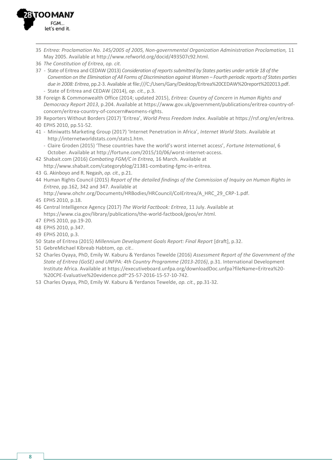

l

- 35 *Eritrea: Proclamation No. 145/2005 of 2005, Non-governmental Organization Administration Proclamation,* 11 May 2005. Available at [http://www.refworld.org/docid/493507c92.html.](http://www.refworld.org/docid/493507c92.html)
- 36 *The Constitution of Eritrea*, *op. cit.*
- 37 State of Eritrea and CEDAW (2013) *Consideration of reports submitted by States parties under article 18 of the Convention on the Elimination of All Forms of Discrimination against Women – Fourth periodic reports of States parties due in 2008: Eritrea*, pp.2-3. Available at file:///C:/Users/Gary/Desktop/Eritrea%20CEDAW%20report%202013.pdf. - State of Eritrea and CEDAW (2014), *op. cit.*, p.3.
- 38 Foreign & Commonwealth Office (2014; updated 2015), *Eritrea: Country of Concern* in *Human Rights and Democracy Report 2013*, p.204. Available a[t https://www.gov.uk/government/publications/eritrea-country-of](https://www.gov.uk/government/publications/eritrea-country-of-concern/eritrea-country-of-concern#womens-rights)[concern/eritrea-country-of-concern#womens-rights.](https://www.gov.uk/government/publications/eritrea-country-of-concern/eritrea-country-of-concern#womens-rights)
- 39 Reporters Without Borders (2017) 'Eritrea', *World Press Freedom Index*. Available at https://rsf.org/en/eritrea.
- 40 EPHS 2010, pp.51-52.
- 41 Miniwatts Marketing Group (2017) 'Internet Penetration in Africa', *Internet World Stats*. Available at [http://internetworldstats.com/stats1.htm.](http://internetworldstats.com/stats1.htm)
	- Claire Groden (2015) 'These countries have the world's worst internet access', *Fortune International*, 6 October. Available at http://fortune.com/2015/10/06/worst-internet-access.
- 42 Shabait.com (2016) *Combating FGM/C in Eritrea,* 16 March. Available at [http://www.shabait.com/categoryblog/21381-combating-fgmc-in-eritrea.](http://www.shabait.com/categoryblog/21381-combating-fgmc-in-eritrea)
- 43 G. Akinboyo and R. Negash, *op. cit.*, p.21.
- 44 Human Rights Council (2015) *Report of the detailed findings of the Commission of Inquiry on Human Rights in Eritrea*, pp.162, 342 and 347. Available at
	- [http://www.ohchr.org/Documents/HRBodies/HRCouncil/CoIEritrea/A\\_HRC\\_29\\_CRP-1.pdf.](http://www.ohchr.org/Documents/HRBodies/HRCouncil/CoIEritrea/A_HRC_29_CRP-1.pdf)
- 45 EPHS 2010, p.18.
- 46 Central Intelligence Agency (2017) *The World Factbook: Eritrea*, 11 July. Available at [https://www.cia.gov/library/publications/the-world-factbook/geos/er.html.](https://www.cia.gov/library/publications/the-world-factbook/geos/er.html)
- 47 EPHS 2010, pp.19-20.
- 48 EPHS 2010, p.347.
- 49 EPHS 2010, p.3.
- 50 State of Eritrea (2015) *Millennium Development Goals Report: Final Report* [draft], p.32.
- 51 GebreMichael Kibreab Habtom, *op. cit.*.
- 52 Charles Oyaya, PhD, Emily W. Kaburu & Yerdanos Tewelde (2016) *Assessment Report of the Government of the State of Eritrea (GoSE) and UNFPA: 4th Country Programme (2013-2016)*, p.31. International Development Institute Africa. Available a[t https://executiveboard.unfpa.org/downloadDoc.unfpa?fileName=Eritrea%20-](https://executiveboard.unfpa.org/downloadDoc.unfpa?fileName=Eritrea%20-%20CPE-Evaluative%20evidence.pdf~25-57-2016-15-57-10-742) [%20CPE-Evaluative%20evidence.pdf~25-57-2016-15-57-10-742.](https://executiveboard.unfpa.org/downloadDoc.unfpa?fileName=Eritrea%20-%20CPE-Evaluative%20evidence.pdf~25-57-2016-15-57-10-742)
- 53 Charles Oyaya, PhD, Emily W. Kaburu & Yerdanos Tewelde, *op. cit.*, pp.31-32.